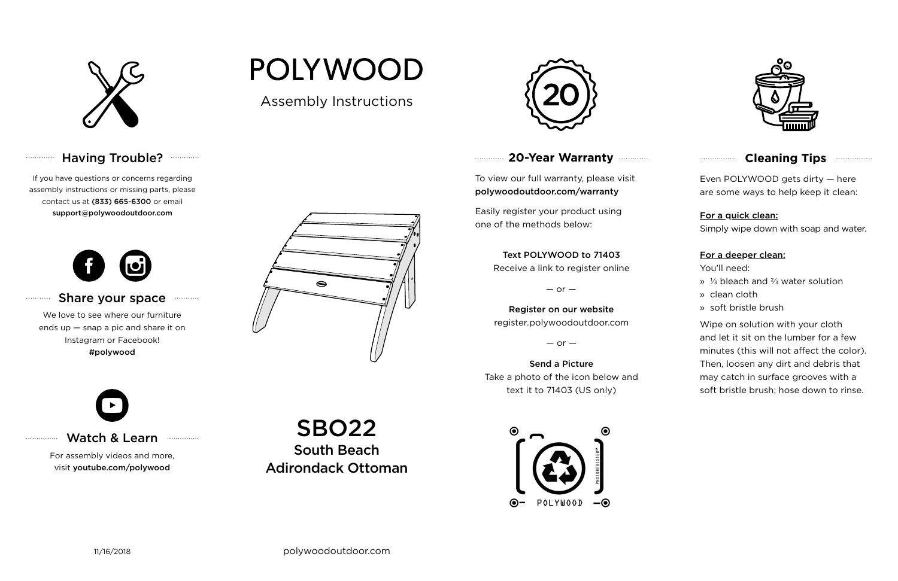

# Having Trouble? **Williams**

## **20-Year Warranty**

To view our full warranty, please visit polywoodoutdoor.com/warranty

Easily register your product using one of the methods below:

Even POLYWOOD gets dirty — here are some ways to help keep it clean:

For a quick clean:

Simply wipe down with soap and water.

### For a deeper clean:

You'll need:

- » ⅓ bleach and ⅔ water solution
- » clean cloth
- » soft bristle brush

Wipe on solution with your cloth and let it sit on the lumber for a few minutes (this will not affect the color). Then, loosen any dirt and debris that may catch in surface grooves with a soft bristle brush; hose down to rinse.

#### Share your space . . . . . . . . . . .

### Text POLYWOOD to 71403

Receive a link to register online

 $-$  or  $-$ 

Register on our website register.polywoodoutdoor.com

 $-$  or  $-$ 

Send a Picture Take a photo of the icon below and text it to 71403 (US only)





## **Cleaning Tips <b>Cleaning**</u>

## Watch & Learn

For assembly videos and more, visit youtube.com/polywood

If you have questions or concerns regarding assembly instructions or missing parts, please contact us at (833) 665-6300 or email support@polywoodoutdoor.com

. . . . . . . . . . . .

. . . . . . . . . . .

. . . . . . . . . . . . . . .



We love to see where our furniture ends up — snap a pic and share it on Instagram or Facebook! #polywood



Assembly Instructions

**POLYWOOD** 



SBO22 South Beach Adirondack Ottoman